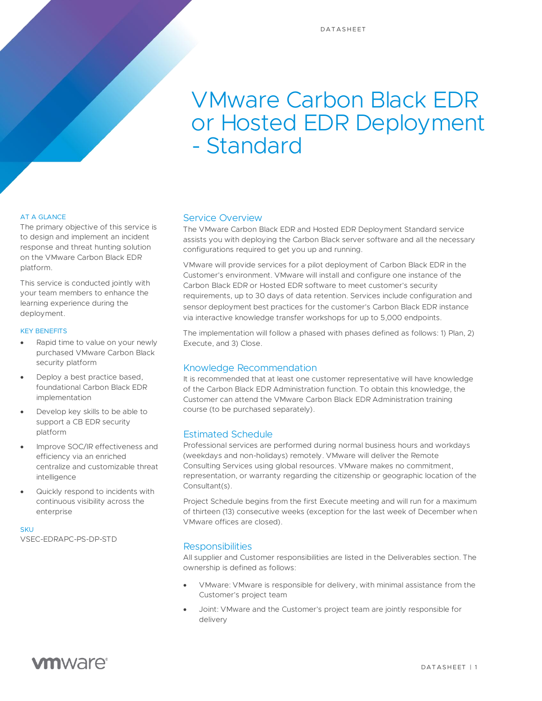# VMware Carbon Black EDR or Hosted EDR Deployment - Standard

#### AT A GLANCE

The primary objective of this service is to design and implement an incident response and threat hunting solution on the VMware Carbon Black EDR platform.

This service is conducted jointly with your team members to enhance the learning experience during the deployment.

#### KEY BENEFITS

- Rapid time to value on your newly purchased VMware Carbon Black security platform
- Deploy a best practice based, foundational Carbon Black EDR implementation
- Develop key skills to be able to support a CB EDR security platform
- Improve SOC/IR effectiveness and efficiency via an enriched centralize and customizable threat intelligence
- Quickly respond to incidents with continuous visibility across the enterprise

**SKU** VSEC-EDRAPC-PS-DP-STD

### Service Overview

The VMware Carbon Black EDR and Hosted EDR Deployment Standard service assists you with deploying the Carbon Black server software and all the necessary configurations required to get you up and running.

VMware will provide services for a pilot deployment of Carbon Black EDR in the Customer's environment. VMware will install and configure one instance of the Carbon Black EDR or Hosted EDR software to meet customer's security requirements, up to 30 days of data retention. Services include configuration and sensor deployment best practices for the customer's Carbon Black EDR instance via interactive knowledge transfer workshops for up to 5,000 endpoints.

The implementation will follow a phased with phases defined as follows: 1) Plan, 2) Execute, and 3) Close.

# Knowledge Recommendation

It is recommended that at least one customer representative will have knowledge of the Carbon Black EDR Administration function. To obtain this knowledge, the Customer can attend the VMware Carbon Black EDR Administration training course (to be purchased separately).

# Estimated Schedule

Professional services are performed during normal business hours and workdays (weekdays and non-holidays) remotely. VMware will deliver the Remote Consulting Services using global resources. VMware makes no commitment, representation, or warranty regarding the citizenship or geographic location of the Consultant(s).

Project Schedule begins from the first Execute meeting and will run for a maximum of thirteen (13) consecutive weeks (exception for the last week of December when VMware offices are closed).

# **Responsibilities**

All supplier and Customer responsibilities are listed in the Deliverables section. The ownership is defined as follows:

- VMware: VMware is responsible for delivery, with minimal assistance from the Customer's project team
- Joint: VMware and the Customer's project team are jointly responsible for delivery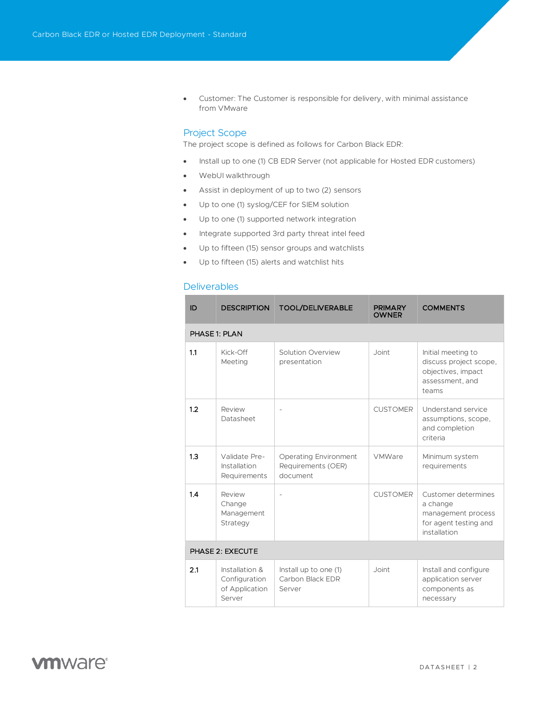• Customer: The Customer is responsible for delivery, with minimal assistance from VMware

## Project Scope

The project scope is defined as follows for Carbon Black EDR:

- Install up to one (1) CB EDR Server (not applicable for Hosted EDR customers)
- WebUI walkthrough
- Assist in deployment of up to two (2) sensors
- Up to one (1) syslog/CEF for SIEM solution
- Up to one (1) supported network integration
- Integrate supported 3rd party threat intel feed
- Up to fifteen (15) sensor groups and watchlists
- Up to fifteen (15) alerts and watchlist hits

## **Deliverables**

| ID               | <b>DESCRIPTION</b>                                          | <b>TOOL/DELIVERABLE</b>                                        | <b>PRIMARY</b><br><b>OWNER</b> | <b>COMMENTS</b>                                                                                |  |  |
|------------------|-------------------------------------------------------------|----------------------------------------------------------------|--------------------------------|------------------------------------------------------------------------------------------------|--|--|
| PHASE 1: PLAN    |                                                             |                                                                |                                |                                                                                                |  |  |
| 1.1              | Kick-Off<br>Meeting                                         | Solution Overview<br>presentation                              | Joint                          | Initial meeting to<br>discuss project scope,<br>objectives, impact<br>assessment, and<br>teams |  |  |
| 1.2              | Review<br>Datasheet                                         | $\overline{a}$                                                 | <b>CUSTOMER</b>                | Understand service<br>assumptions, scope,<br>and completion<br>criteria                        |  |  |
| 1.3              | Validate Pre-<br>Installation<br>Requirements               | <b>Operating Environment</b><br>Requirements (OER)<br>document | VMWare                         | Minimum system<br>requirements                                                                 |  |  |
| 1.4              | Review<br>Change<br>Management<br>Strategy                  |                                                                | <b>CUSTOMER</b>                | Customer determines<br>a change<br>management process<br>for agent testing and<br>installation |  |  |
| PHASE 2: EXECUTE |                                                             |                                                                |                                |                                                                                                |  |  |
| 2.1              | Installation &<br>Configuration<br>of Application<br>Server | Install up to one (1)<br>Carbon Black EDR<br>Server            | Joint                          | Install and configure<br>application server<br>components as<br>necessary                      |  |  |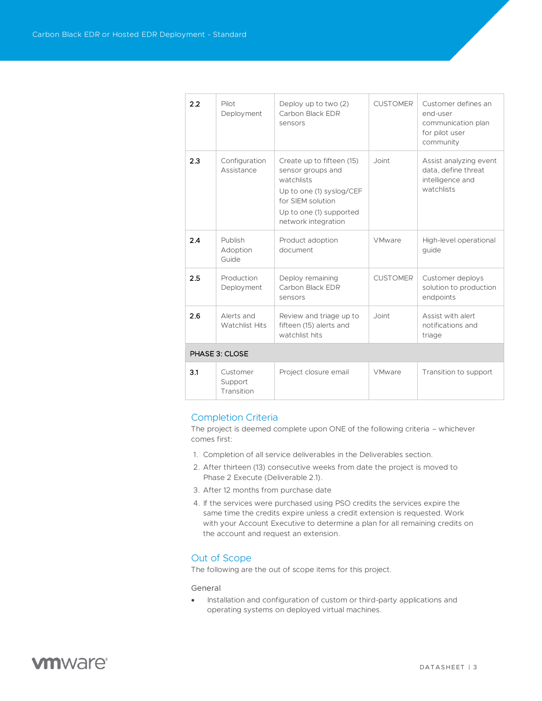| 22             | Pilot<br>Deployment               | Deploy up to two (2)<br>Carbon Black EDR<br>sensors                                                                                                             | <b>CUSTOMER</b> | Customer defines an<br>end-user<br>communication plan<br>for pilot user<br>community |  |  |
|----------------|-----------------------------------|-----------------------------------------------------------------------------------------------------------------------------------------------------------------|-----------------|--------------------------------------------------------------------------------------|--|--|
| 2.3            | Configuration<br>Assistance       | Create up to fifteen (15)<br>sensor groups and<br>watchlists<br>Up to one (1) syslog/CEF<br>for SIEM solution<br>Up to one (1) supported<br>network integration | Joint           | Assist analyzing event<br>data, define threat<br>intelligence and<br>watchlists      |  |  |
| 2.4            | Publish<br>Adoption<br>Guide      | Product adoption<br>document                                                                                                                                    | <b>VMware</b>   | High-level operational<br>guide                                                      |  |  |
| 2.5            | Production<br>Deployment          | Deploy remaining<br>Carbon Black EDR<br>sensors                                                                                                                 | <b>CUSTOMER</b> | Customer deploys<br>solution to production<br>endpoints                              |  |  |
| 2.6            | Alerts and<br>Watchlist Hits      | Review and triage up to<br>fifteen (15) alerts and<br>watchlist hits                                                                                            | Joint           | Assist with alert<br>notifications and<br>triage                                     |  |  |
| PHASE 3: CLOSE |                                   |                                                                                                                                                                 |                 |                                                                                      |  |  |
| 3.1            | Customer<br>Support<br>Transition | Project closure email                                                                                                                                           | <b>VMware</b>   | Transition to support                                                                |  |  |

#### Completion Criteria

The project is deemed complete upon ONE of the following criteria – whichever comes first:

- 1. Completion of all service deliverables in the Deliverables section.
- 2. After thirteen (13) consecutive weeks from date the project is moved to Phase 2 Execute (Deliverable 2.1).
- 3. After 12 months from purchase date
- 4. If the services were purchased using PSO credits the services expire the same time the credits expire unless a credit extension is requested. Work with your Account Executive to determine a plan for all remaining credits on the account and request an extension.

# Out of Scope

The following are the out of scope items for this project.

#### General

• Installation and configuration of custom or third-party applications and operating systems on deployed virtual machines.

# **vm**ware<sup>®</sup>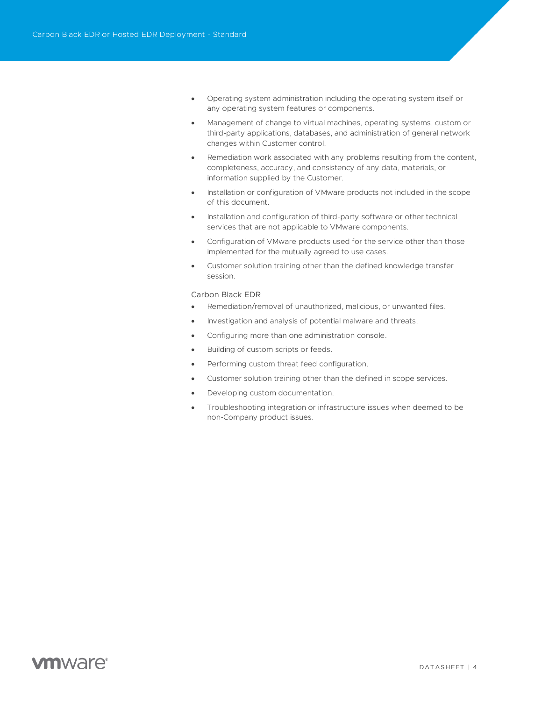- Operating system administration including the operating system itself or any operating system features or components.
- Management of change to virtual machines, operating systems, custom or third-party applications, databases, and administration of general network changes within Customer control.
- Remediation work associated with any problems resulting from the content, completeness, accuracy, and consistency of any data, materials, or information supplied by the Customer.
- Installation or configuration of VMware products not included in the scope of this document.
- Installation and configuration of third-party software or other technical services that are not applicable to VMware components.
- Configuration of VMware products used for the service other than those implemented for the mutually agreed to use cases.
- Customer solution training other than the defined knowledge transfer session.

#### Carbon Black EDR

- Remediation/removal of unauthorized, malicious, or unwanted files.
- Investigation and analysis of potential malware and threats.
- Configuring more than one administration console.
- Building of custom scripts or feeds.
- Performing custom threat feed configuration.
- Customer solution training other than the defined in scope services.
- Developing custom documentation.
- Troubleshooting integration or infrastructure issues when deemed to be non-Company product issues.

# **vm**ware<sup>®</sup>